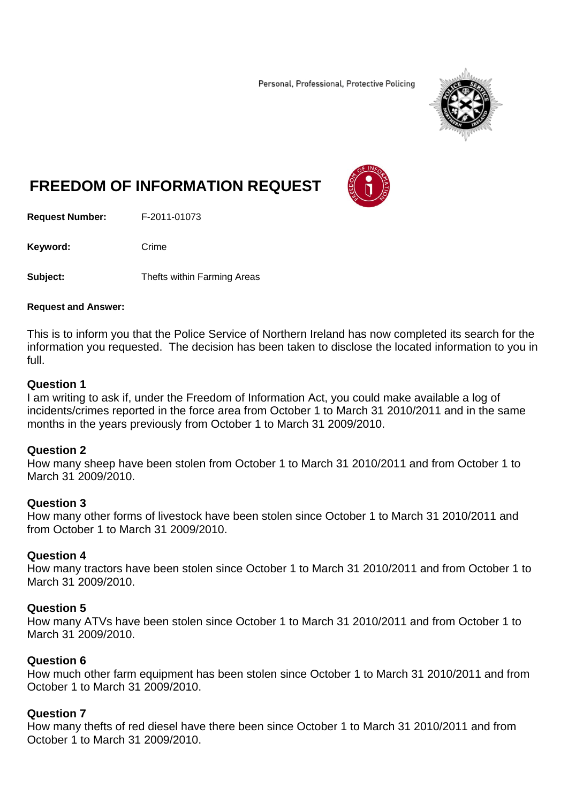Personal, Professional, Protective Policing



# **FREEDOM OF INFORMATION REQUEST**

**Request Number:** F-2011-01073

Keyword: Crime

**Subject:** Thefts within Farming Areas

#### **Request and Answer:**

This is to inform you that the Police Service of Northern Ireland has now completed its search for the information you requested. The decision has been taken to disclose the located information to you in full.

#### **Question 1**

I am writing to ask if, under the Freedom of Information Act, you could make available a log of incidents/crimes reported in the force area from October 1 to March 31 2010/2011 and in the same months in the years previously from October 1 to March 31 2009/2010.

## **Question 2**

How many sheep have been stolen from October 1 to March 31 2010/2011 and from October 1 to March 31 2009/2010.

## **Question 3**

How many other forms of livestock have been stolen since October 1 to March 31 2010/2011 and from October 1 to March 31 2009/2010.

## **Question 4**

How many tractors have been stolen since October 1 to March 31 2010/2011 and from October 1 to March 31 2009/2010.

## **Question 5**

How many ATVs have been stolen since October 1 to March 31 2010/2011 and from October 1 to March 31 2009/2010.

## **Question 6**

How much other farm equipment has been stolen since October 1 to March 31 2010/2011 and from October 1 to March 31 2009/2010.

## **Question 7**

How many thefts of red diesel have there been since October 1 to March 31 2010/2011 and from October 1 to March 31 2009/2010.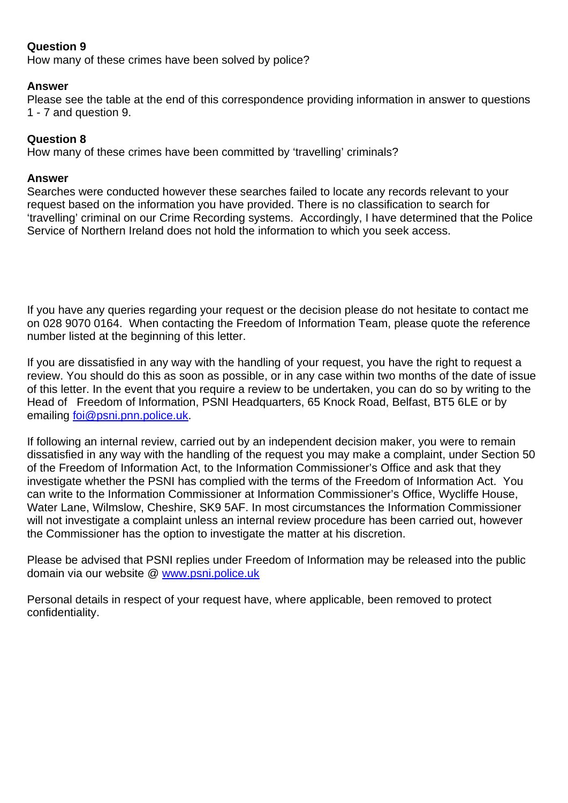# **Question 9**

How many of these crimes have been solved by police?

#### **Answer**

Please see the table at the end of this correspondence providing information in answer to questions 1 - 7 and question 9.

## **Question 8**

How many of these crimes have been committed by 'travelling' criminals?

#### **Answer**

Searches were conducted however these searches failed to locate any records relevant to your request based on the information you have provided. There is no classification to search for 'travelling' criminal on our Crime Recording systems. Accordingly, I have determined that the Police Service of Northern Ireland does not hold the information to which you seek access.

If you have any queries regarding your request or the decision please do not hesitate to contact me on 028 9070 0164. When contacting the Freedom of Information Team, please quote the reference number listed at the beginning of this letter.

If you are dissatisfied in any way with the handling of your request, you have the right to request a review. You should do this as soon as possible, or in any case within two months of the date of issue of this letter. In the event that you require a review to be undertaken, you can do so by writing to the Head of Freedom of Information, PSNI Headquarters, 65 Knock Road, Belfast, BT5 6LE or by emailing foi@psni.pnn.police.uk.

If following an internal review, carried out by an independent decision maker, you were to remain dissatisfied in any way with the handling of the request you may make a complaint, under Section 50 of the Freedom of Information Act, to the Information Commissioner's Office and ask that they investigate whether the PSNI has complied with the terms of the Freedom of Information Act. You can write to the Information Commissioner at Information Commissioner's Office, Wycliffe House, Water Lane, Wilmslow, Cheshire, SK9 5AF. In most circumstances the Information Commissioner will not investigate a complaint unless an internal review procedure has been carried out, however the Commissioner has the option to investigate the matter at his discretion.

Please be advised that PSNI replies under Freedom of Information may be released into the public domain via our website @ www.psni.police.uk

Personal details in respect of your request have, where applicable, been removed to protect confidentiality.